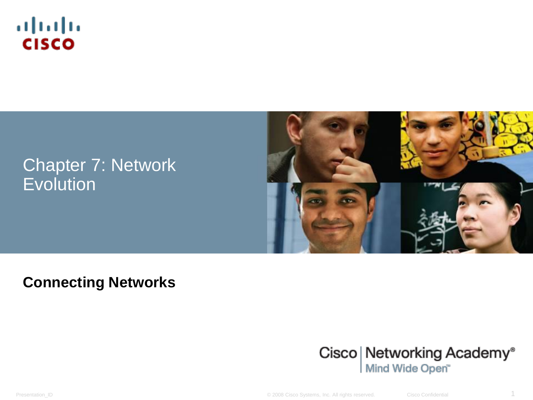

#### Chapter 7: Network **Evolution**



#### **Connecting Networks**



Presentation\_ID © 2008 Cisco Systems, Inc. All rights reserved. Cisco Confidential 1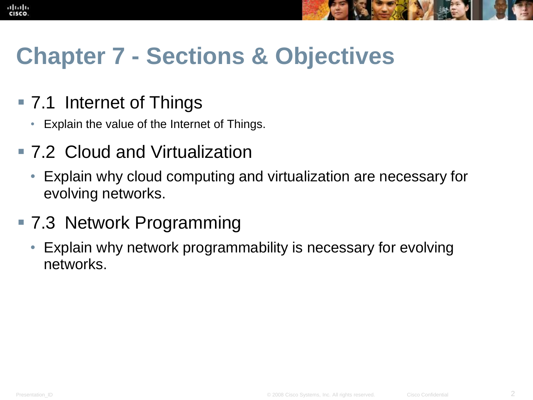

## **Chapter 7 - Sections & Objectives**

#### ■ 7.1 Internet of Things

- Explain the value of the Internet of Things.
- 7.2 Cloud and Virtualization
	- Explain why cloud computing and virtualization are necessary for evolving networks.
- 7.3 Network Programming
	- Explain why network programmability is necessary for evolving networks.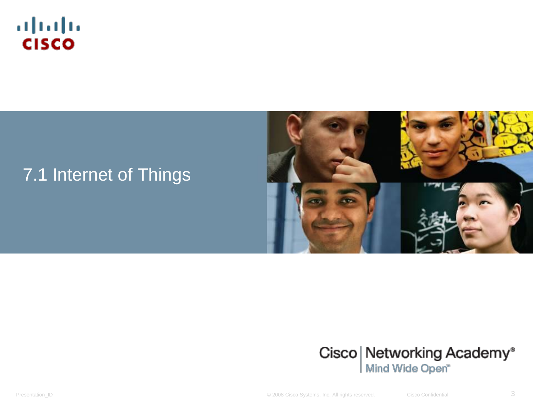

#### 7.1 Internet of Things





Presentation\_ID **Example 2008** Cisco Systems, Inc. All rights reserved. Cisco Confidential Cisco Confidential 3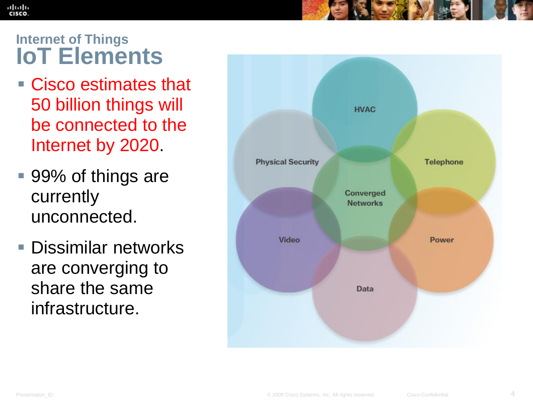#### **Internet of Things IoT Elements**

ahah CISCO

- Cisco estimates that 50 billion things will be connected to the Internet by 2020.
- 99% of things are currently unconnected.
- **Dissimilar networks** are converging to share the same infrastructure.

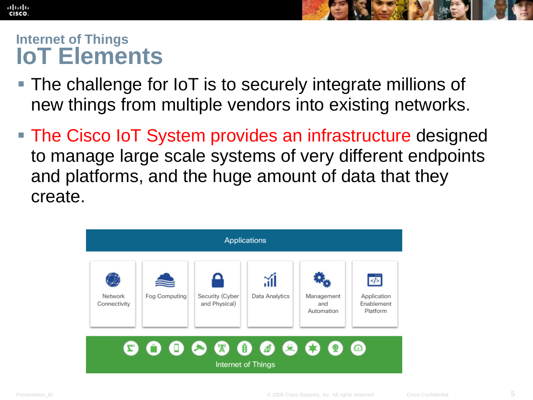#### **Internet of Things IoT Elements**

ahah CISCO.

- The challenge for IoT is to securely integrate millions of new things from multiple vendors into existing networks.
- The Cisco IoT System provides an infrastructure designed to manage large scale systems of very different endpoints and platforms, and the huge amount of data that they create.

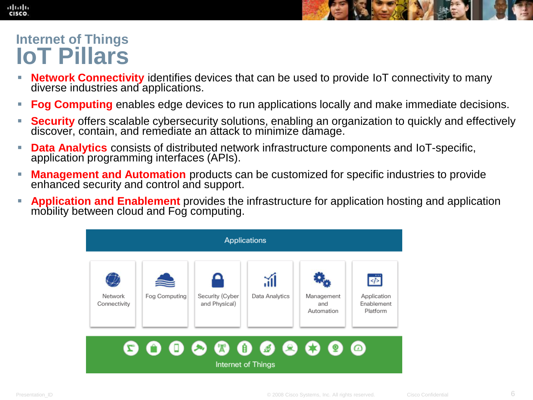

#### **Internet of Things IoT Pillars**

- **Network Connectivity** identifies devices that can be used to provide IoT connectivity to many diverse industries and applications.
- **Fog Computing** enables edge devices to run applications locally and make immediate decisions.
- **Security** offers scalable cybersecurity solutions, enabling an organization to quickly and effectively discover, contain, and remediate an attack to minimize damage.
- **Data Analytics** consists of distributed network infrastructure components and IoT-specific, application programming interfaces (APIs).
- **Management and Automation** products can be customized for specific industries to provide enhanced security and control and support.
- **Application and Enablement** provides the infrastructure for application hosting and application mobility between cloud and Fog computing.

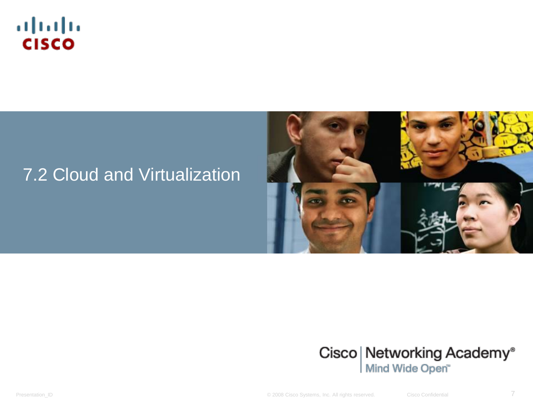

#### 7.2 Cloud and Virtualization





Presentation\_ID **Example 2008** Cisco Systems, Inc. All rights reserved. Cisco Confidential Cisco Confidential 7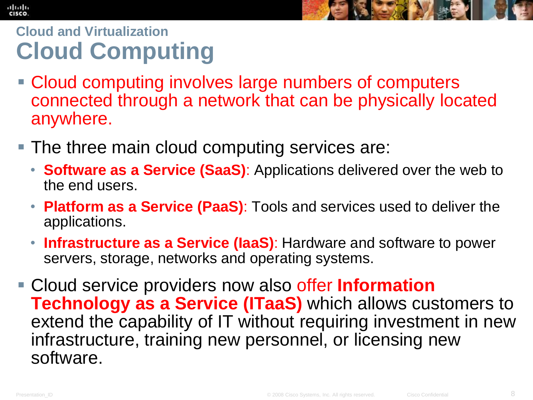

## **Cloud and Virtualization Cloud Computing**

- Cloud computing involves large numbers of computers connected through a network that can be physically located anywhere.
- **The three main cloud computing services are:** 
	- **Software as a Service (SaaS)**: Applications delivered over the web to the end users.
	- **Platform as a Service (PaaS)**: Tools and services used to deliver the applications.
	- **Infrastructure as a Service (IaaS)**: Hardware and software to power servers, storage, networks and operating systems.
- Cloud service providers now also offer **Information Technology as a Service (ITaaS)** which allows customers to extend the capability of IT without requiring investment in new infrastructure, training new personnel, or licensing new software.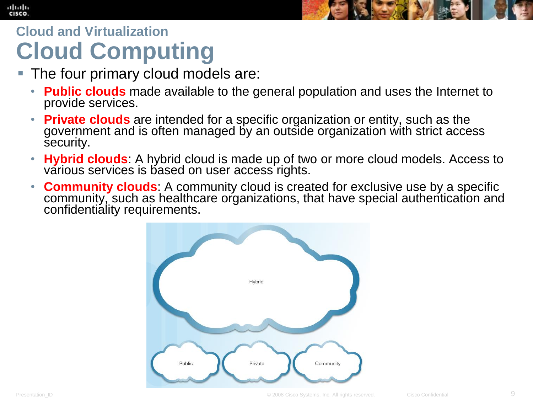#### altalia **CISCO**



#### **Cloud and Virtualization Cloud Computing**

- The four primary cloud models are:
	- **Public clouds** made available to the general population and uses the Internet to provide services.
	- **Private clouds** are intended for a specific organization or entity, such as the government and is often managed by an outside organization with strict access security.
	- **Hybrid clouds**: A hybrid cloud is made up of two or more cloud models. Access to various services is based on user access rights.
	- **Community clouds**: A community cloud is created for exclusive use by a specific community, such as healthcare organizations, that have special authentication and confidentiality requirements.

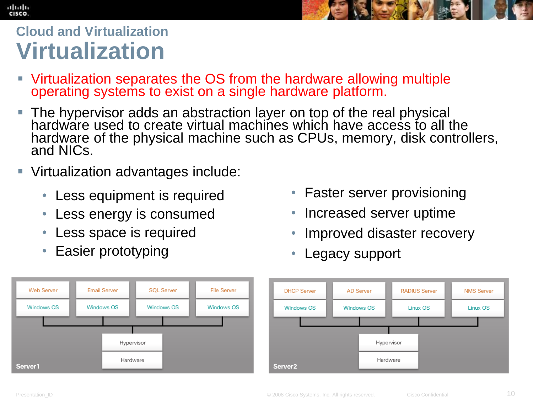## **Cloud and Virtualization Virtualization**

ahah CISCO.

- Virtualization separates the OS from the hardware allowing multiple operating systems to exist on a single hardware platform.
- **The hypervisor adds an abstraction layer on top of the real physical** hardware used to create virtual machines which have access to all the hardware of the physical machine such as CPUs, memory, disk controllers, and NICs.
- Virtualization advantages include:
	- Less equipment is required
	- Less energy is consumed
	- Less space is required
	- Easier prototyping



- Faster server provisioning
- Increased server uptime
- Improved disaster recovery
- Legacy support

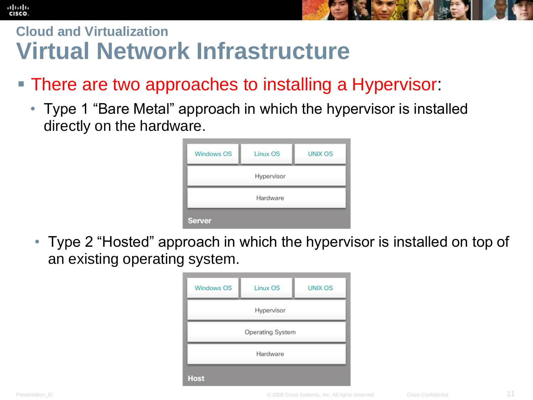#### **Cloud and Virtualization Virtual Network Infrastructure**

- There are two approaches to installing a Hypervisor:
	- Type 1 "Bare Metal" approach in which the hypervisor is installed directly on the hardware.

| <b>Windows OS</b> | Linux OS | <b>UNIX OS</b> |  |  |
|-------------------|----------|----------------|--|--|
| Hypervisor        |          |                |  |  |
| Hardware          |          |                |  |  |
| <b>Server</b>     |          |                |  |  |

• Type 2 "Hosted" approach in which the hypervisor is installed on top of an existing operating system.

| <b>Windows OS</b> | Linux OS | <b>UNIX OS</b> |  |  |
|-------------------|----------|----------------|--|--|
| Hypervisor        |          |                |  |  |
| Operating System  |          |                |  |  |
| Hardware          |          |                |  |  |
| <b>Host</b>       |          |                |  |  |

altah CISCO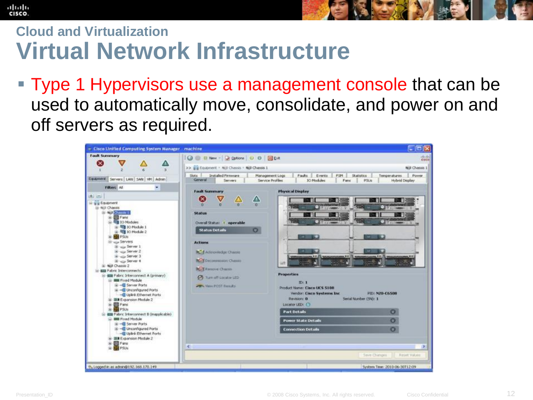## **Cloud and Virtualization Virtual Network Infrastructure**

**Type 1 Hypervisors use a management console that can be** used to automatically move, consolidate, and power on and off servers as required.

| - Cisco Unified Computing System Manager - machine                                                                                                                                                                                                                                                                                                                                                                                                                                                                                                                                                                                                                                                                                           |                                                                                                                                                                                                                                                                                                                                                                                                                                                                                                                                                                                                                                                                                                                    | $\blacksquare$ o $\times$                                                                                                                                                                                                                                                                                                                                                   |
|----------------------------------------------------------------------------------------------------------------------------------------------------------------------------------------------------------------------------------------------------------------------------------------------------------------------------------------------------------------------------------------------------------------------------------------------------------------------------------------------------------------------------------------------------------------------------------------------------------------------------------------------------------------------------------------------------------------------------------------------|--------------------------------------------------------------------------------------------------------------------------------------------------------------------------------------------------------------------------------------------------------------------------------------------------------------------------------------------------------------------------------------------------------------------------------------------------------------------------------------------------------------------------------------------------------------------------------------------------------------------------------------------------------------------------------------------------------------------|-----------------------------------------------------------------------------------------------------------------------------------------------------------------------------------------------------------------------------------------------------------------------------------------------------------------------------------------------------------------------------|
| <b>Fault Summary</b>                                                                                                                                                                                                                                                                                                                                                                                                                                                                                                                                                                                                                                                                                                                         | O B New - 2 Ostions 0 0 0 0 D R<br>>> Eg Equanent + Njll Chassis + Njll Chassis 1                                                                                                                                                                                                                                                                                                                                                                                                                                                                                                                                                                                                                                  | cisco<br><b>Niji Chassis 1</b>                                                                                                                                                                                                                                                                                                                                              |
| Equipment Servers LAN SAN WH Admin<br><b>Filter: Al.</b><br>۰<br>土口<br>E Es Equipment<br>E 40 Chasss<br><b>B NO CARRY I</b><br><b>BB</b> Fans<br>10 Modules<br><b>NE 10 Module 1</b><br>(i) 可 10 Module 2<br><b>BEPSUE</b><br>El siga Servers<br>B up Server 1<br>iti uzu Server 2<br>If you Server 3<br>IE - upp Server 4<br>Si Nol Chessis 2<br>E EE Fabric Interconnects<br><b>EEE</b> Fabric Interconnect A (primary)<br>Ei III Flood Module<br><b>E -E Server Ports</b><br>H - I Unconfigured Ports<br>-G Upink Ethernet Ports<br>E III Expansion Module 2<br><b>Bill</b> Fans<br>æ<br><b>EL PSUS</b><br><b>EEE</b> Fabric Interconnect B (inapplicable)<br><b>BIR Food Module</b><br>iii - ill Server Ports<br>E -E Unconfigured Ports | Slots -<br>Installed Firmware<br>Management Logs<br>Faults<br>Events<br>General<br><b>10 Modules</b><br>Service Profiles<br>Servers<br><b>Physical Display</b><br>Fault Summary<br>$\times$<br>ZN<br>近<br><b>Status</b><br>Overal Status: 1 operable<br><b>Status Details</b><br>o<br><b>Actions</b><br>ALL Attrovindge Charge<br><b>Call Deconsistence Chassis</b><br><b><i><u>The State</u></i></b><br>шь<br><b>REM Ferrore Chasss</b><br>Properties<br><b>Co</b> Turn off Locator LED-<br><b>TD: 1</b><br><b>POST Rends</b><br>Product Name: Cisco LICS S108<br>Vendor: Cisco Systems Inc.<br>Revision: O<br>Locator LEDI (C)<br><b>Part Details</b><br><b>Power State Details</b><br><b>Connection Details</b> | PSM<br><b>Stabilics</b><br>Temporatures<br>Power.<br><b>Hybrid Display</b><br>Fans<br>PSUs<br>5400040040<br><b>MARKET STANDARD COMPANY</b><br>$-1572 - 2582$<br><b>Contractions</b><br>темплексизмом, т с ДЦ численнымим, т с ДЦ численными, т с души на поддержки и с д<br>26<br><b>TAXABLE</b><br>William<br>PID: N20-C6508<br>Smial Number (594): 1<br>o<br>o<br>$\circ$ |
| - Uplink Ethernet Ports<br>- III Expansion Module 2<br><b>Big</b> Fans<br><b>BEPSUG</b>                                                                                                                                                                                                                                                                                                                                                                                                                                                                                                                                                                                                                                                      | K.                                                                                                                                                                                                                                                                                                                                                                                                                                                                                                                                                                                                                                                                                                                 | - 35                                                                                                                                                                                                                                                                                                                                                                        |
| % Logged in as admin@192.168.170.149                                                                                                                                                                                                                                                                                                                                                                                                                                                                                                                                                                                                                                                                                                         |                                                                                                                                                                                                                                                                                                                                                                                                                                                                                                                                                                                                                                                                                                                    | Save Changes<br><b>Reset VALuid</b><br>System Time: 2010-06-30T12:09                                                                                                                                                                                                                                                                                                        |

ahah **CISCO**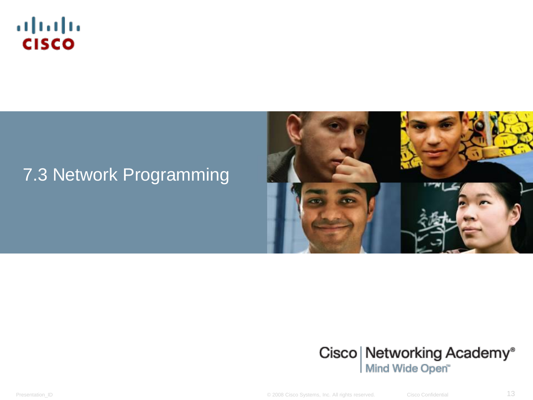

#### 7.3 Network Programming





Presentation\_ID **Example 2008** Cisco Systems, Inc. All rights reserved. Cisco Confidential Cisco Confidential 13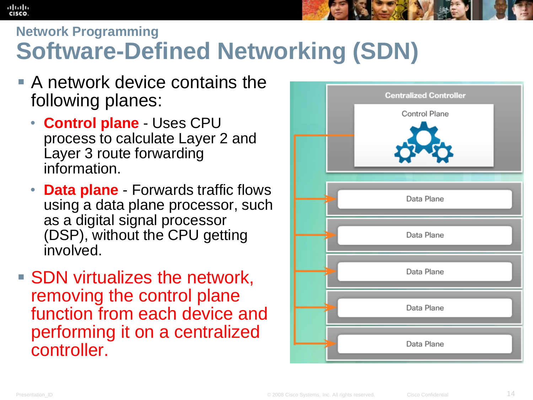#### **Network Programming Software-Defined Networking (SDN)**

- A network device contains the following planes:
	- **Control plane** Uses CPU process to calculate Layer 2 and Layer 3 route forwarding information.
	- **Data plane** Forwards traffic flows using a data plane processor, such as a digital signal processor (DSP), without the CPU getting involved.
- **SDN** virtualizes the network, removing the control plane function from each device and performing it on a centralized controller.



ahah CISCO.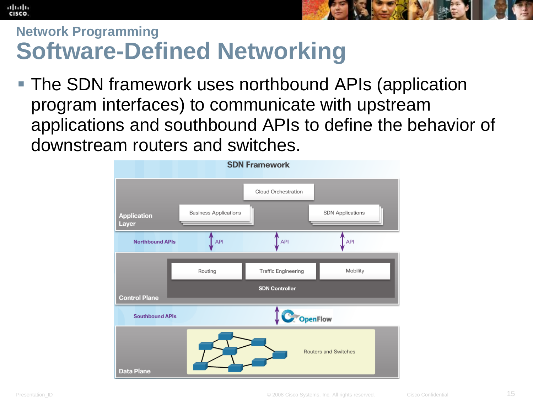



#### **Network Programming Software-Defined Networking**

 The SDN framework uses northbound APIs (application program interfaces) to communicate with upstream applications and southbound APIs to define the behavior of downstream routers and switches.

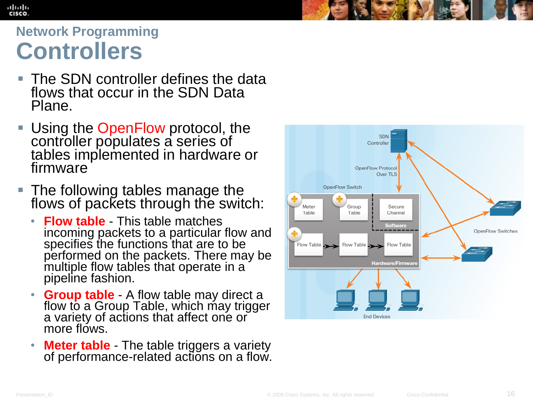## **Network Programming Controllers**

ahah CISCO.

- The SDN controller defines the data flows that occur in the SDN Data Plane.
- **Using the OpenFlow protocol, the** controller populates a series of tables implemented in hardware or firmware
- **The following tables manage the** flows of packets through the switch:
	- **Flow table** This table matches incoming packets to a particular flow and specifies the functions that are to be performed on the packets. There may be multiple flow tables that operate in a pipeline fashion.
	- **Group table** A flow table may direct a flow to a Group Table, which may trigger a variety of actions that affect one or more flows.
	- **Meter table** The table triggers a variety of performance-related actions on a flow.

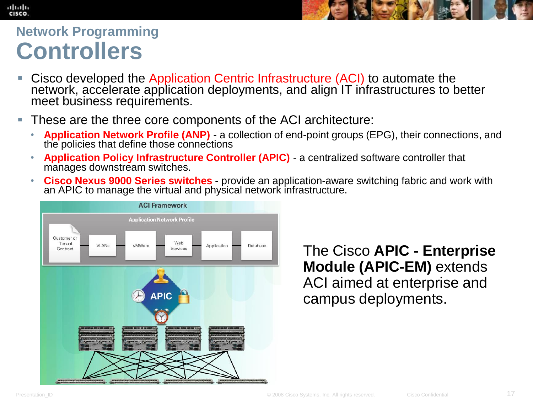## **Network Programming Controllers**

ahah CISCO.

- **Cisco developed the Application Centric Infrastructure (ACI) to automate the** network, accelerate application deployments, and align IT infrastructures to better meet business requirements.
- These are the three core components of the ACI architecture:
	- **Application Network Profile (ANP)** a collection of end-point groups (EPG), their connections, and the policies that define those connections
	- **Application Policy Infrastructure Controller (APIC)** a centralized software controller that manages downstream switches.
	- **Cisco Nexus 9000 Series switches** provide an application-aware switching fabric and work with an APIC to manage the virtual and physical network infrastructure.



The Cisco **APIC - Enterprise Module (APIC-EM)** extends ACI aimed at enterprise and campus deployments.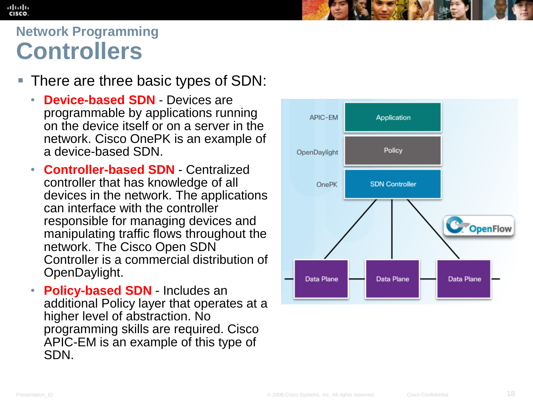#### ahah CISCO.

## **Network Programming Controllers**

- There are three basic types of SDN:
	- **Device-based SDN** Devices are programmable by applications running on the device itself or on a server in the network. Cisco OnePK is an example of a device-based SDN.
	- **Controller-based SDN** Centralized controller that has knowledge of all devices in the network. The applications can interface with the controller responsible for managing devices and manipulating traffic flows throughout the network. The Cisco Open SDN Controller is a commercial distribution of OpenDaylight.
	- **Policy-based SDN** Includes an additional Policy layer that operates at a higher level of abstraction. No programming skills are required. Cisco APIC-EM is an example of this type of SDN.

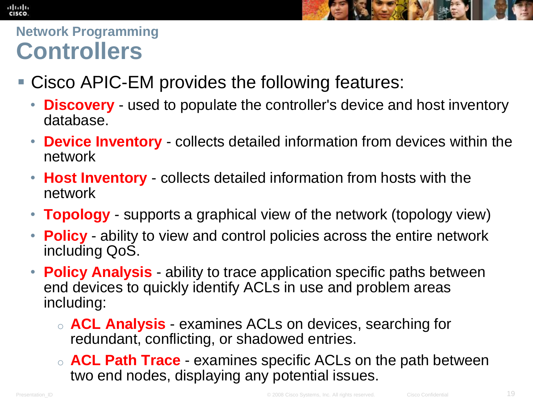#### aludu.<br>Cisco



#### **Network Programming Controllers**

- Cisco APIC-EM provides the following features:
	- **Discovery** used to populate the controller's device and host inventory database.
	- **Device Inventory** collects detailed information from devices within the network
	- **Host Inventory** collects detailed information from hosts with the network
	- **Topology** supports a graphical view of the network (topology view)
	- **Policy** ability to view and control policies across the entire network including QoS.
	- **Policy Analysis** ability to trace application specific paths between end devices to quickly identify ACLs in use and problem areas including:
		- o **ACL Analysis** examines ACLs on devices, searching for redundant, conflicting, or shadowed entries.
		- o **ACL Path Trace** examines specific ACLs on the path between two end nodes, displaying any potential issues.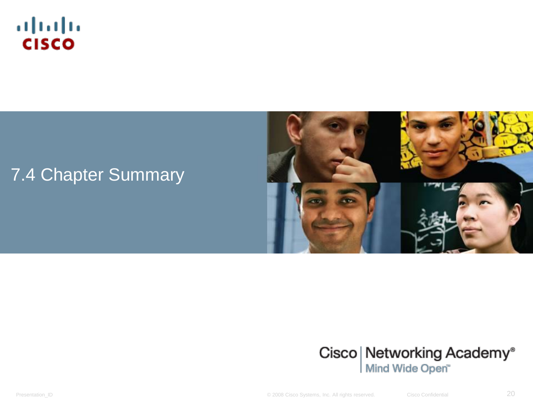

#### 7.4 Chapter Summary





Presentation\_ID **Example 2008** Cisco Systems, Inc. All rights reserved. Cisco Confidential Cisco Confidential 20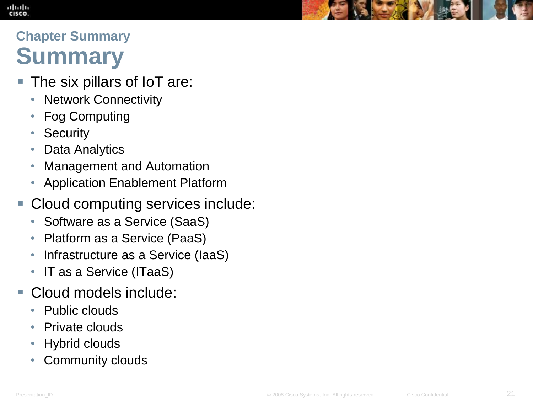#### ahah CISCO

## **Chapter Summary Summary**

- The six pillars of IoT are:
	- Network Connectivity
	- Fog Computing
	- Security
	- Data Analytics
	- Management and Automation
	- Application Enablement Platform
- Cloud computing services include:
	- Software as a Service (SaaS)
	- Platform as a Service (PaaS)
	- Infrastructure as a Service (IaaS)
	- IT as a Service (ITaaS)
- Cloud models include:
	- Public clouds
	- Private clouds
	- Hybrid clouds
	- Community clouds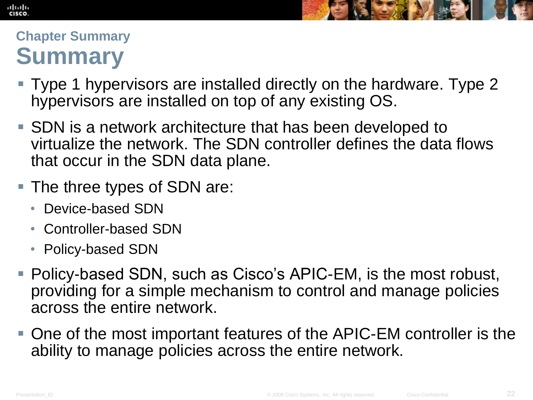#### altah CISCO



#### **Chapter Summary Summary**

- Type 1 hypervisors are installed directly on the hardware. Type 2 hypervisors are installed on top of any existing OS.
- SDN is a network architecture that has been developed to virtualize the network. The SDN controller defines the data flows that occur in the SDN data plane.
- The three types of SDN are:
	- Device-based SDN
	- Controller-based SDN
	- Policy-based SDN
- Policy-based SDN, such as Cisco's APIC-EM, is the most robust, providing for a simple mechanism to control and manage policies across the entire network.
- One of the most important features of the APIC-EM controller is the ability to manage policies across the entire network.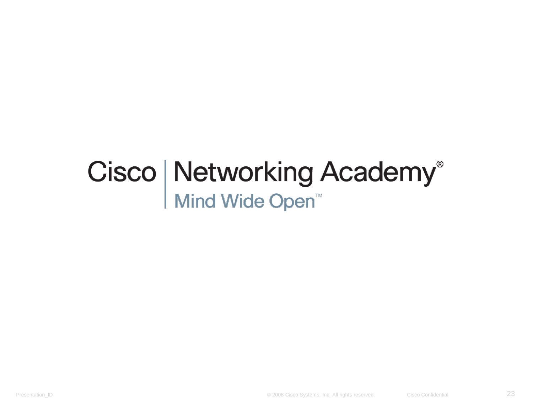# Cisco | Networking Academy<sup>®</sup><br>Mind Wide Open<sup>™</sup>